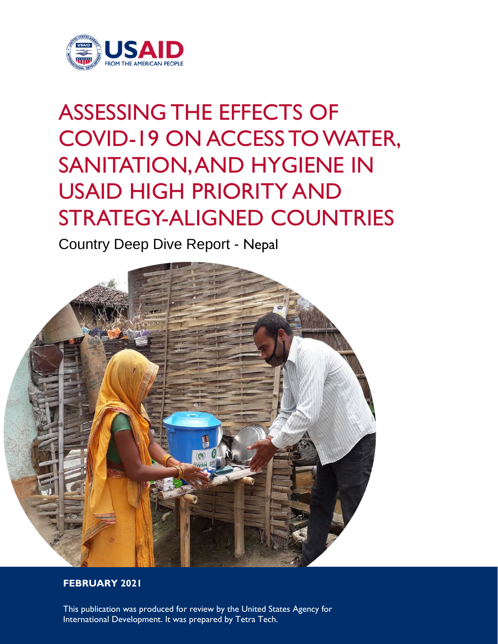

# ASSESSING THE EFFECTS OF COVID-19 ON ACCESS TO WATER, SANITATION, AND HYGIENE IN USAID HIGH PRIORITY AND STRATEGY-ALIGNED COUNTRIES

Country Deep Dive Report - Nepal



#### **FEBRUARY 2021**

This publication was produced for review by the United States Agency for International Development. It was prepared by Tetra Tech.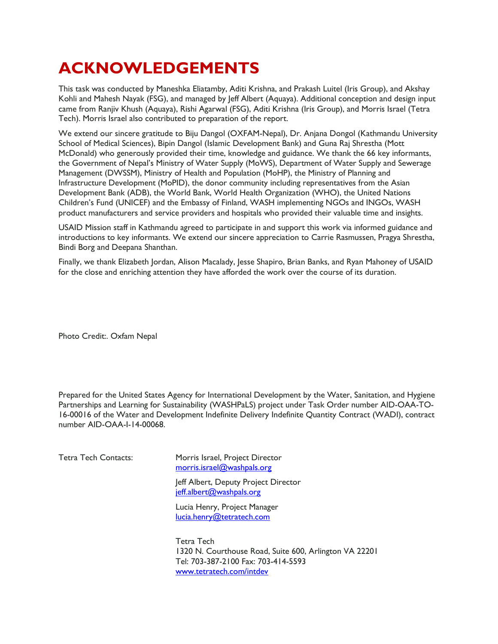# **ACKNOWLEDGEMENTS**

This task was conducted by Maneshka Eliatamby, Aditi Krishna, and Prakash Luitel (Iris Group), and Akshay Kohli and Mahesh Nayak (FSG), and managed by Jeff Albert (Aquaya). Additional conception and design input came from Ranjiv Khush (Aquaya), Rishi Agarwal (FSG), Aditi Krishna (Iris Group), and Morris Israel (Tetra Tech). Morris Israel also contributed to preparation of the report.

We extend our sincere gratitude to Biju Dangol (OXFAM-Nepal), Dr. Anjana Dongol (Kathmandu University School of Medical Sciences), Bipin Dangol (Islamic Development Bank) and Guna Raj Shrestha (Mott McDonald) who generously provided their time, knowledge and guidance. We thank the 66 key informants, the Government of Nepal's Ministry of Water Supply (MoWS), Department of Water Supply and Sewerage Management (DWSSM), Ministry of Health and Population (MoHP), the Ministry of Planning and Infrastructure Development (MoPID), the donor community including representatives from the Asian Development Bank (ADB), the World Bank, World Health Organization (WHO), the United Nations Children's Fund (UNICEF) and the Embassy of Finland, WASH implementing NGOs and INGOs, WASH product manufacturers and service providers and hospitals who provided their valuable time and insights.

USAID Mission staff in Kathmandu agreed to participate in and support this work via informed guidance and introductions to key informants. We extend our sincere appreciation to Carrie Rasmussen, Pragya Shrestha, Bindi Borg and Deepana Shanthan.

Finally, we thank Elizabeth Jordan, Alison Macalady, Jesse Shapiro, Brian Banks, and Ryan Mahoney of USAID for the close and enriching attention they have afforded the work over the course of its duration.

Photo Credit:. Oxfam Nepal

Prepared for the United States Agency for International Development by the Water, Sanitation, and Hygiene Partnerships and Learning for Sustainability (WASHPaLS) project under Task Order number AID-OAA-TO-16-00016 of the Water and Development Indefinite Delivery Indefinite Quantity Contract (WADI), contract number AID-OAA-I-14-00068.

| Tetra Tech Contacts: | Morris Israel, Project Director<br>morris.israel@washpals.org                                               |
|----------------------|-------------------------------------------------------------------------------------------------------------|
|                      | Jeff Albert, Deputy Project Director<br>jeff.albert@washpals.org                                            |
|                      | Lucia Henry, Project Manager<br>lucia.henry@tetratech.com                                                   |
|                      | Tetra Tech<br>1320 N. Courthouse Road, Suite 600, Arlington VA 22201<br>Tel: 703-387-2100 Fax: 703-414-5593 |

www.tetratech.com/intdev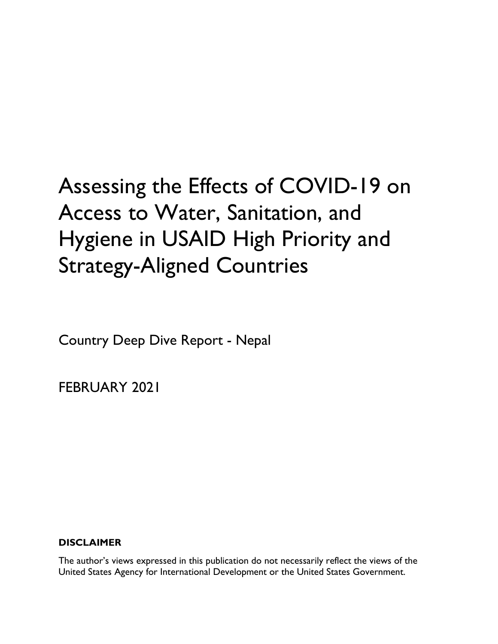# Assessing the Effects of COVID-19 on Access to Water, Sanitation, and Hygiene in USAID High Priority and Strategy-Aligned Countries

Country Deep Dive Report - Nepal

FEBRUARY 2021

#### **DISCLAIMER**

The author's views expressed in this publication do not necessarily reflect the views of the United States Agency for International Development or the United States Government.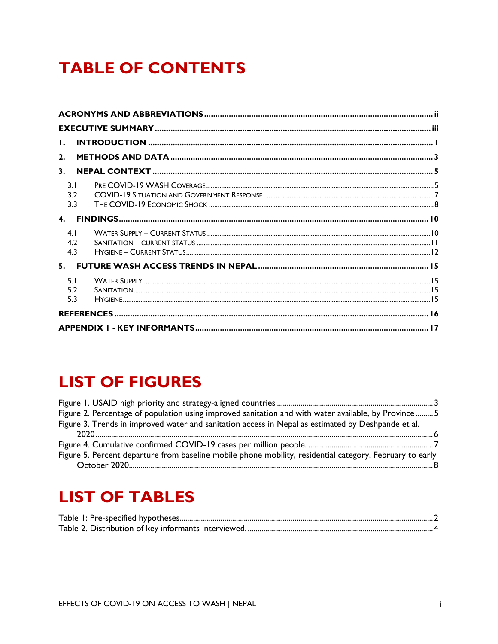### **TABLE OF CONTENTS**

| $\mathbf{L}$                 |  |
|------------------------------|--|
| 2.                           |  |
| 3.                           |  |
| 3 <sub>1</sub><br>3.2<br>3.3 |  |
| $\mathbf{4}$                 |  |
| 4.1<br>4.2<br>4.3            |  |
| 5.                           |  |
| 5 <sub>1</sub><br>5.2<br>5.3 |  |
|                              |  |
|                              |  |

### **LIST OF FIGURES**

| Figure 2. Percentage of population using improved sanitation and with water available, by Province 5     |  |
|----------------------------------------------------------------------------------------------------------|--|
| Figure 3. Trends in improved water and sanitation access in Nepal as estimated by Deshpande et al.       |  |
|                                                                                                          |  |
|                                                                                                          |  |
| Figure 5. Percent departure from baseline mobile phone mobility, residential category, February to early |  |
|                                                                                                          |  |

### **LIST OF TABLES**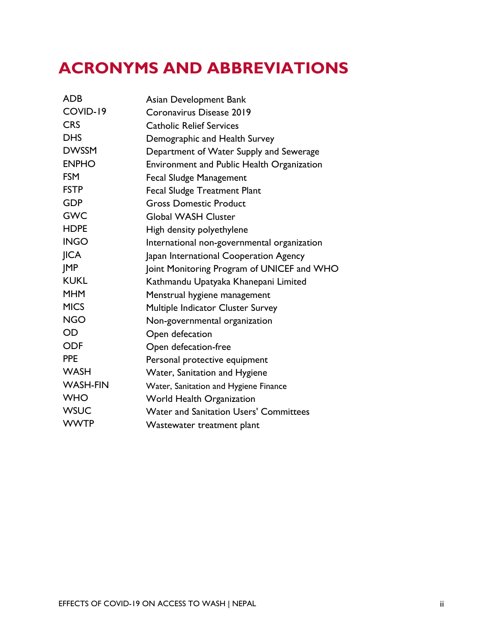### **ACRONYMS AND ABBREVIATIONS**

| <b>ADB</b>      | Asian Development Bank                        |
|-----------------|-----------------------------------------------|
| COVID-19        | Coronavirus Disease 2019                      |
| <b>CRS</b>      | <b>Catholic Relief Services</b>               |
| <b>DHS</b>      | Demographic and Health Survey                 |
| <b>DWSSM</b>    | Department of Water Supply and Sewerage       |
| <b>ENPHO</b>    | Environment and Public Health Organization    |
| <b>FSM</b>      | <b>Fecal Sludge Management</b>                |
| <b>FSTP</b>     | <b>Fecal Sludge Treatment Plant</b>           |
| <b>GDP</b>      | <b>Gross Domestic Product</b>                 |
| <b>GWC</b>      | <b>Global WASH Cluster</b>                    |
| <b>HDPE</b>     | High density polyethylene                     |
| <b>INGO</b>     | International non-governmental organization   |
| <b>JICA</b>     | Japan International Cooperation Agency        |
| <b>IMP</b>      | Joint Monitoring Program of UNICEF and WHO    |
| <b>KUKL</b>     | Kathmandu Upatyaka Khanepani Limited          |
| <b>MHM</b>      | Menstrual hygiene management                  |
| <b>MICS</b>     | Multiple Indicator Cluster Survey             |
| <b>NGO</b>      | Non-governmental organization                 |
| <b>OD</b>       | Open defecation                               |
| <b>ODF</b>      | Open defecation-free                          |
| <b>PPE</b>      | Personal protective equipment                 |
| <b>WASH</b>     | Water, Sanitation and Hygiene                 |
| <b>WASH-FIN</b> | Water, Sanitation and Hygiene Finance         |
| <b>WHO</b>      | <b>World Health Organization</b>              |
| <b>WSUC</b>     | <b>Water and Sanitation Users' Committees</b> |
| <b>WWTP</b>     | Wastewater treatment plant                    |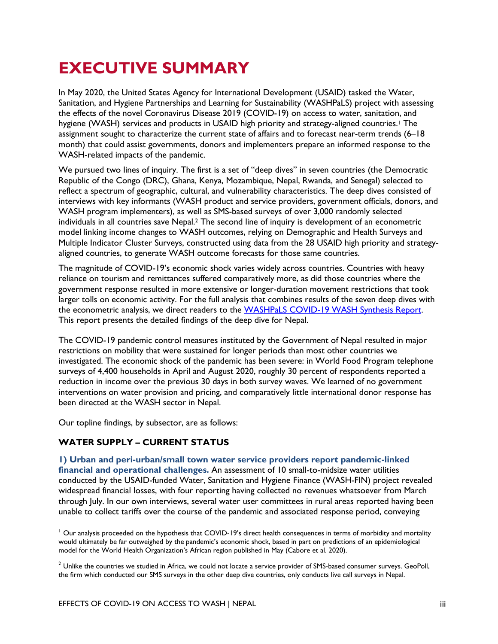# **EXECUTIVE SUMMARY**

In May 2020, the United States Agency for International Development (USAID) tasked the Water, Sanitation, and Hygiene Partnerships and Learning for Sustainability (WASHPaLS) project with assessing the effects of the novel Coronavirus Disease 2019 (COVID-19) on access to water, sanitation, and hygiene (WASH) services and products in USAID high priority and strategy-aligned countries.<sup>1</sup> The assignment sought to characterize the current state of affairs and to forecast near-term trends (6–18 month) that could assist governments, donors and implementers prepare an informed response to the WASH-related impacts of the pandemic.

We pursued two lines of inquiry. The first is a set of "deep dives" in seven countries (the Democratic Republic of the Congo (DRC), Ghana, Kenya, Mozambique, Nepal, Rwanda, and Senegal) selected to reflect a spectrum of geographic, cultural, and vulnerability characteristics. The deep dives consisted of interviews with key informants (WASH product and service providers, government officials, donors, and WASH program implementers), as well as SMS-based surveys of over 3,000 randomly selected individuals in all countries save Nepal.2 The second line of inquiry is development of an econometric model linking income changes to WASH outcomes, relying on Demographic and Health Surveys and Multiple Indicator Cluster Surveys, constructed using data from the 28 USAID high priority and strategyaligned countries, to generate WASH outcome forecasts for those same countries.

The magnitude of COVID-19's economic shock varies widely across countries. Countries with heavy reliance on tourism and remittances suffered comparatively more, as did those countries where the government response resulted in more extensive or longer-duration movement restrictions that took larger tolls on economic activity. For the full analysis that combines results of the seven deep dives with the econometric analysis, we direct readers to the WASHPaLS COVID-19 WASH Synthesis Report. This report presents the detailed findings of the deep dive for Nepal.

The COVID-19 pandemic control measures instituted by the Government of Nepal resulted in major restrictions on mobility that were sustained for longer periods than most other countries we investigated. The economic shock of the pandemic has been severe: in World Food Program telephone surveys of 4,400 households in April and August 2020, roughly 30 percent of respondents reported a reduction in income over the previous 30 days in both survey waves. We learned of no government interventions on water provision and pricing, and comparatively little international donor response has been directed at the WASH sector in Nepal.

Our topline findings, by subsector, are as follows:

#### **WATER SUPPLY – CURRENT STATUS**

#### **1) Urban and peri-urban/small town water service providers report pandemic-linked**

**financial and operational challenges.** An assessment of 10 small-to-midsize water utilities conducted by the USAID-funded Water, Sanitation and Hygiene Finance (WASH-FIN) project revealed widespread financial losses, with four reporting having collected no revenues whatsoever from March through July. In our own interviews, several water user committees in rural areas reported having been unable to collect tariffs over the course of the pandemic and associated response period, conveying

 $<sup>1</sup>$  Our analysis proceeded on the hypothesis that COVID-19's direct health consequences in terms of morbidity and mortality</sup> would ultimately be far outweighed by the pandemic's economic shock, based in part on predictions of an epidemiological model for the World Health Organization's African region published in May (Cabore et al. 2020).

 $2$  Unlike the countries we studied in Africa, we could not locate a service provider of SMS-based consumer surveys. GeoPoll, the firm which conducted our SMS surveys in the other deep dive countries, only conducts live call surveys in Nepal.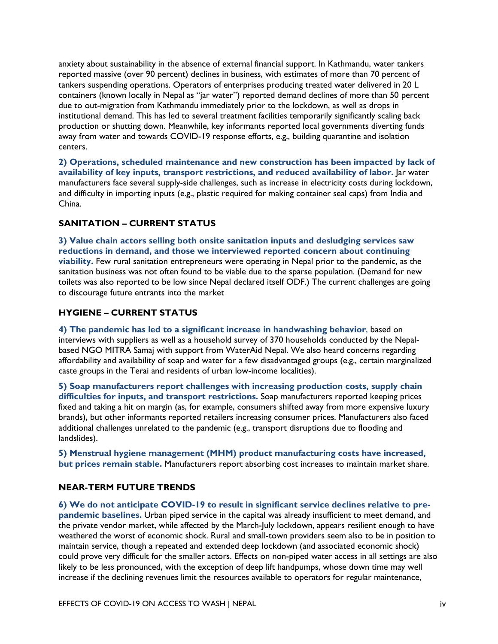anxiety about sustainability in the absence of external financial support. In Kathmandu, water tankers reported massive (over 90 percent) declines in business, with estimates of more than 70 percent of tankers suspending operations. Operators of enterprises producing treated water delivered in 20 L containers (known locally in Nepal as "jar water") reported demand declines of more than 50 percent due to out-migration from Kathmandu immediately prior to the lockdown, as well as drops in institutional demand. This has led to several treatment facilities temporarily significantly scaling back production or shutting down. Meanwhile, key informants reported local governments diverting funds away from water and towards COVID-19 response efforts, e.g., building quarantine and isolation centers.

**2) Operations, scheduled maintenance and new construction has been impacted by lack of availability of key inputs, transport restrictions, and reduced availability of labor.** Jar water manufacturers face several supply-side challenges, such as increase in electricity costs during lockdown, and difficulty in importing inputs (e.g., plastic required for making container seal caps) from India and China.

#### **SANITATION – CURRENT STATUS**

**3) Value chain actors selling both onsite sanitation inputs and desludging services saw reductions in demand, and those we interviewed reported concern about continuing viability.** Few rural sanitation entrepreneurs were operating in Nepal prior to the pandemic, as the sanitation business was not often found to be viable due to the sparse population. (Demand for new toilets was also reported to be low since Nepal declared itself ODF.) The current challenges are going to discourage future entrants into the market

#### **HYGIENE – CURRENT STATUS**

**4) The pandemic has led to a significant increase in handwashing behavior**, based on interviews with suppliers as well as a household survey of 370 households conducted by the Nepalbased NGO MITRA Samaj with support from WaterAid Nepal. We also heard concerns regarding affordability and availability of soap and water for a few disadvantaged groups (e.g., certain marginalized caste groups in the Terai and residents of urban low-income localities).

**5) Soap manufacturers report challenges with increasing production costs, supply chain difficulties for inputs, and transport restrictions.** Soap manufacturers reported keeping prices fixed and taking a hit on margin (as, for example, consumers shifted away from more expensive luxury brands), but other informants reported retailers increasing consumer prices. Manufacturers also faced additional challenges unrelated to the pandemic (e.g., transport disruptions due to flooding and landslides).

**5) Menstrual hygiene management (MHM) product manufacturing costs have increased, but prices remain stable.** Manufacturers report absorbing cost increases to maintain market share.

#### **NEAR-TERM FUTURE TRENDS**

**6) We do not anticipate COVID-19 to result in significant service declines relative to prepandemic baselines.** Urban piped service in the capital was already insufficient to meet demand, and the private vendor market, while affected by the March-July lockdown, appears resilient enough to have weathered the worst of economic shock. Rural and small-town providers seem also to be in position to maintain service, though a repeated and extended deep lockdown (and associated economic shock) could prove very difficult for the smaller actors. Effects on non-piped water access in all settings are also likely to be less pronounced, with the exception of deep lift handpumps, whose down time may well increase if the declining revenues limit the resources available to operators for regular maintenance,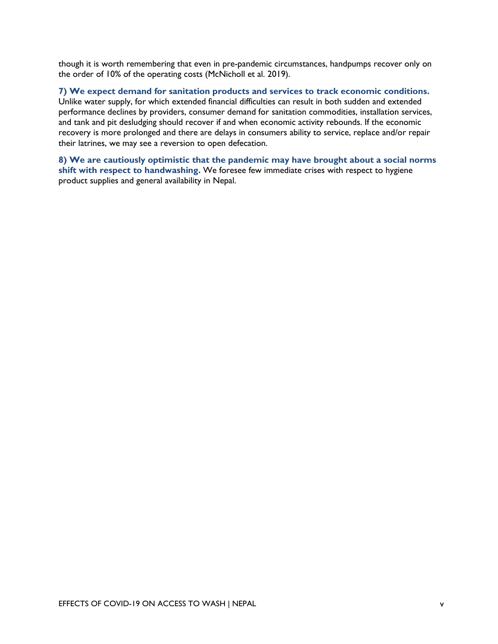though it is worth remembering that even in pre-pandemic circumstances, handpumps recover only on the order of 10% of the operating costs (McNicholl et al. 2019).

**7) We expect demand for sanitation products and services to track economic conditions.** 

Unlike water supply, for which extended financial difficulties can result in both sudden and extended performance declines by providers, consumer demand for sanitation commodities, installation services, and tank and pit desludging should recover if and when economic activity rebounds. If the economic recovery is more prolonged and there are delays in consumers ability to service, replace and/or repair their latrines, we may see a reversion to open defecation.

**8) We are cautiously optimistic that the pandemic may have brought about a social norms shift with respect to handwashing.** We foresee few immediate crises with respect to hygiene product supplies and general availability in Nepal.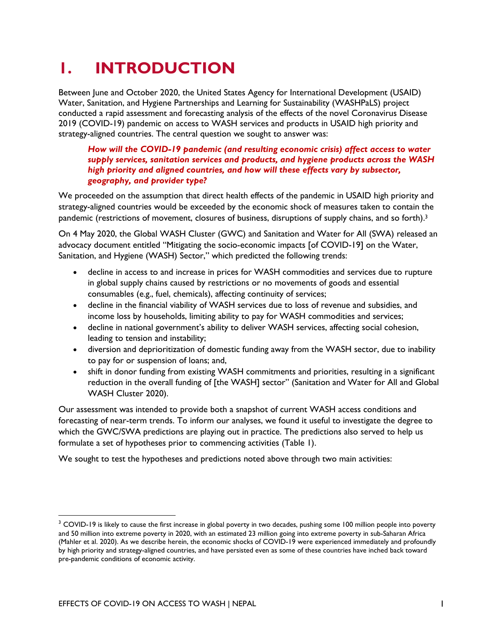### **1. INTRODUCTION**

Between June and October 2020, the United States Agency for International Development (USAID) Water, Sanitation, and Hygiene Partnerships and Learning for Sustainability (WASHPaLS) project conducted a rapid assessment and forecasting analysis of the effects of the novel Coronavirus Disease 2019 (COVID-19) pandemic on access to WASH services and products in USAID high priority and strategy-aligned countries. The central question we sought to answer was:

#### *How will the COVID-19 pandemic (and resulting economic crisis) affect access to water supply services, sanitation services and products, and hygiene products across the WASH high priority and aligned countries, and how will these effects vary by subsector, geography, and provider type?*

We proceeded on the assumption that direct health effects of the pandemic in USAID high priority and strategy-aligned countries would be exceeded by the economic shock of measures taken to contain the pandemic (restrictions of movement, closures of business, disruptions of supply chains, and so forth).<sup>3</sup>

On 4 May 2020, the Global WASH Cluster (GWC) and Sanitation and Water for All (SWA) released an advocacy document entitled "Mitigating the socio-economic impacts [of COVID-19] on the Water, Sanitation, and Hygiene (WASH) Sector," which predicted the following trends:

- decline in access to and increase in prices for WASH commodities and services due to rupture in global supply chains caused by restrictions or no movements of goods and essential consumables (e.g., fuel, chemicals), affecting continuity of services;
- decline in the financial viability of WASH services due to loss of revenue and subsidies, and income loss by households, limiting ability to pay for WASH commodities and services;
- decline in national government's ability to deliver WASH services, affecting social cohesion, leading to tension and instability;
- diversion and deprioritization of domestic funding away from the WASH sector, due to inability to pay for or suspension of loans; and,
- shift in donor funding from existing WASH commitments and priorities, resulting in a significant reduction in the overall funding of [the WASH] sector" (Sanitation and Water for All and Global WASH Cluster 2020).

Our assessment was intended to provide both a snapshot of current WASH access conditions and forecasting of near-term trends. To inform our analyses, we found it useful to investigate the degree to which the GWC/SWA predictions are playing out in practice. The predictions also served to help us formulate a set of hypotheses prior to commencing activities (Table 1).

We sought to test the hypotheses and predictions noted above through two main activities:

<sup>&</sup>lt;sup>3</sup> COVID-19 is likely to cause the first increase in global poverty in two decades, pushing some 100 million people into poverty and 50 million into extreme poverty in 2020, with an estimated 23 million going into extreme poverty in sub-Saharan Africa (Mahler et al. 2020). As we describe herein, the economic shocks of COVID-19 were experienced immediately and profoundly by high priority and strategy-aligned countries, and have persisted even as some of these countries have inched back toward pre-pandemic conditions of economic activity.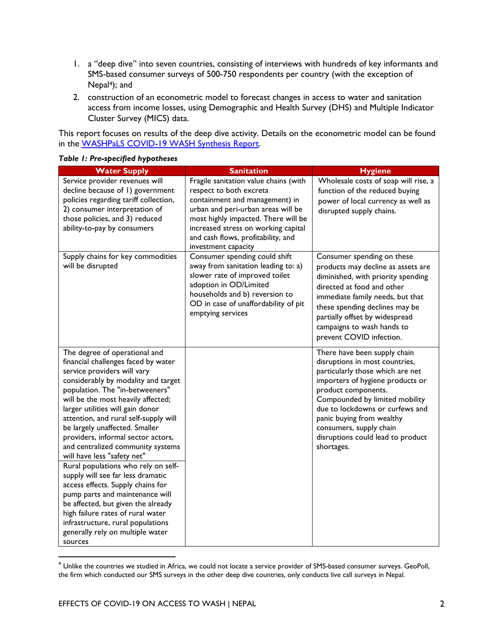- 1. a "deep dive" into seven countries, consisting of interviews with hundreds of key informants and SMS-based consumer surveys of 500-750 respondents per country (with the exception of Nepal4); and
- 2. construction of an econometric model to forecast changes in access to water and sanitation access from income losses, using Demographic and Health Survey (DHS) and Multiple Indicator Cluster Survey (MICS) data.

This report focuses on results of the deep dive activity. Details on the econometric model can be found in the WASHPaLS COVID-19 WASH Synthesis Report.

| <b>Water Supply</b>                                                                                                                                                                                                                                                                                                                                                                                                                                                                                                                                                                                                                                                                                                                                             | <b>Sanitation</b>                                                                                                                                                                                                                                                                   | <b>Hygiene</b>                                                                                                                                                                                                                                                                                                                                |
|-----------------------------------------------------------------------------------------------------------------------------------------------------------------------------------------------------------------------------------------------------------------------------------------------------------------------------------------------------------------------------------------------------------------------------------------------------------------------------------------------------------------------------------------------------------------------------------------------------------------------------------------------------------------------------------------------------------------------------------------------------------------|-------------------------------------------------------------------------------------------------------------------------------------------------------------------------------------------------------------------------------------------------------------------------------------|-----------------------------------------------------------------------------------------------------------------------------------------------------------------------------------------------------------------------------------------------------------------------------------------------------------------------------------------------|
| Service provider revenues will<br>decline because of 1) government<br>policies regarding tariff collection,<br>2) consumer interpretation of<br>those policies, and 3) reduced<br>ability-to-pay by consumers                                                                                                                                                                                                                                                                                                                                                                                                                                                                                                                                                   | Fragile sanitation value chains (with<br>respect to both excreta<br>containment and management) in<br>urban and peri-urban areas will be<br>most highly impacted. There will be<br>increased stress on working capital<br>and cash flows, profitability, and<br>investment capacity | Wholesale costs of soap will rise, a<br>function of the reduced buying<br>power of local currency as well as<br>disrupted supply chains.                                                                                                                                                                                                      |
| Supply chains for key commodities<br>will be disrupted                                                                                                                                                                                                                                                                                                                                                                                                                                                                                                                                                                                                                                                                                                          | Consumer spending could shift<br>away from sanitation leading to: a)<br>slower rate of improved toilet<br>adoption in OD/Limited<br>households and b) reversion to<br>OD in case of unaffordability of pit<br>emptying services                                                     | Consumer spending on these<br>products may decline as assets are<br>diminished, with priority spending<br>directed at food and other<br>immediate family needs, but that<br>these spending declines may be<br>partially offset by widespread<br>campaigns to wash hands to<br>prevent COVID infection.                                        |
| The degree of operational and<br>financial challenges faced by water<br>service providers will vary<br>considerably by modality and target<br>population. The "in-betweeners"<br>will be the most heavily affected;<br>larger utilities will gain donor<br>attention, and rural self-supply will<br>be largely unaffected. Smaller<br>providers, informal sector actors,<br>and centralized community systems<br>will have less "safety net"<br>Rural populations who rely on self-<br>supply will see far less dramatic<br>access effects. Supply chains for<br>pump parts and maintenance will<br>be affected, but given the already<br>high failure rates of rural water<br>infrastructure, rural populations<br>generally rely on multiple water<br>sources |                                                                                                                                                                                                                                                                                     | There have been supply chain<br>disruptions in most countries,<br>particularly those which are net<br>importers of hygiene products or<br>product components.<br>Compounded by limited mobility<br>due to lockdowns or curfews and<br>panic buying from wealthy<br>consumers, supply chain<br>disruptions could lead to product<br>shortages. |

#### *Table 1: Pre-specified hypotheses*

<sup>4</sup> Unlike the countries we studied in Africa, we could not locate a service provider of SMS-based consumer surveys. GeoPoll, the firm which conducted our SMS surveys in the other deep dive countries, only conducts live call surveys in Nepal.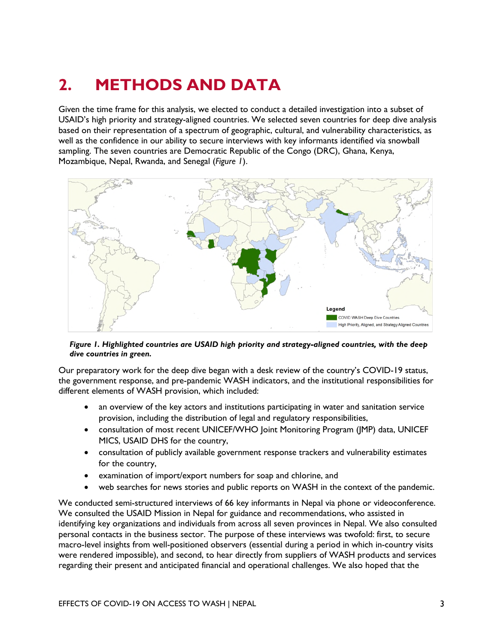## **2. METHODS AND DATA**

Given the time frame for this analysis, we elected to conduct a detailed investigation into a subset of USAID's high priority and strategy-aligned countries. We selected seven countries for deep dive analysis based on their representation of a spectrum of geographic, cultural, and vulnerability characteristics, as well as the confidence in our ability to secure interviews with key informants identified via snowball sampling. The seven countries are Democratic Republic of the Congo (DRC), Ghana, Kenya, Mozambique, Nepal, Rwanda, and Senegal (*Figure 1*).



#### *Figure 1. Highlighted countries are USAID high priority and strategy-aligned countries, with the deep dive countries in green.*

Our preparatory work for the deep dive began with a desk review of the country's COVID-19 status, the government response, and pre-pandemic WASH indicators, and the institutional responsibilities for different elements of WASH provision, which included:

- an overview of the key actors and institutions participating in water and sanitation service provision, including the distribution of legal and regulatory responsibilities,
- consultation of most recent UNICEF/WHO Joint Monitoring Program (JMP) data, UNICEF MICS, USAID DHS for the country,
- consultation of publicly available government response trackers and vulnerability estimates for the country,
- examination of import/export numbers for soap and chlorine, and
- web searches for news stories and public reports on WASH in the context of the pandemic.

We conducted semi-structured interviews of 66 key informants in Nepal via phone or videoconference. We consulted the USAID Mission in Nepal for guidance and recommendations, who assisted in identifying key organizations and individuals from across all seven provinces in Nepal. We also consulted personal contacts in the business sector. The purpose of these interviews was twofold: first, to secure macro-level insights from well-positioned observers (essential during a period in which in-country visits were rendered impossible), and second, to hear directly from suppliers of WASH products and services regarding their present and anticipated financial and operational challenges. We also hoped that the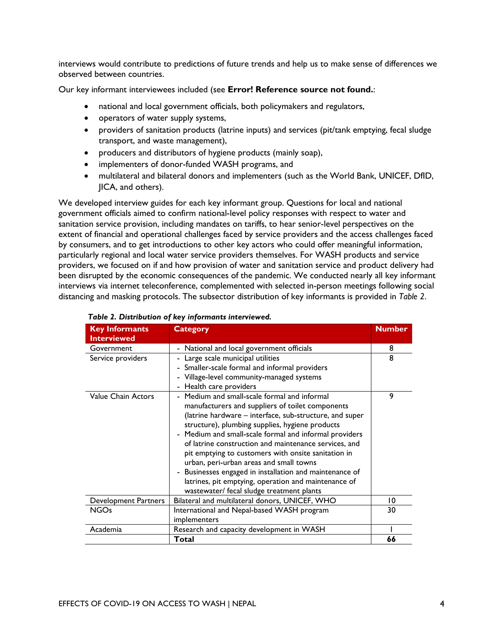interviews would contribute to predictions of future trends and help us to make sense of differences we observed between countries.

Our key informant interviewees included (see **Error! Reference source not found.**:

- national and local government officials, both policymakers and regulators,
- operators of water supply systems,
- providers of sanitation products (latrine inputs) and services (pit/tank emptying, fecal sludge transport, and waste management),
- producers and distributors of hygiene products (mainly soap),
- implementers of donor-funded WASH programs, and
- multilateral and bilateral donors and implementers (such as the World Bank, UNICEF, DfID, JICA, and others).

We developed interview guides for each key informant group. Questions for local and national government officials aimed to confirm national-level policy responses with respect to water and sanitation service provision, including mandates on tariffs, to hear senior-level perspectives on the extent of financial and operational challenges faced by service providers and the access challenges faced by consumers, and to get introductions to other key actors who could offer meaningful information, particularly regional and local water service providers themselves. For WASH products and service providers, we focused on if and how provision of water and sanitation service and product delivery had been disrupted by the economic consequences of the pandemic. We conducted nearly all key informant interviews via internet teleconference, complemented with selected in-person meetings following social distancing and masking protocols. The subsector distribution of key informants is provided in *Table 2*.

| <b>Key Informants</b><br><b>Interviewed</b> | <b>Category</b>                                                     | <b>Number</b> |
|---------------------------------------------|---------------------------------------------------------------------|---------------|
| Government                                  | - National and local government officials                           | 8             |
| Service providers                           | Large scale municipal utilities                                     | 8             |
|                                             | - Smaller-scale formal and informal providers                       |               |
|                                             | Village-level community-managed systems<br>$\overline{\phantom{0}}$ |               |
|                                             | - Health care providers                                             |               |
| Value Chain Actors                          | Medium and small-scale formal and informal                          | 9             |
|                                             | manufacturers and suppliers of toilet components                    |               |
|                                             | (latrine hardware - interface, sub-structure, and super             |               |
|                                             | structure), plumbing supplies, hygiene products                     |               |
|                                             | - Medium and small-scale formal and informal providers              |               |
|                                             | of latrine construction and maintenance services, and               |               |
|                                             | pit emptying to customers with onsite sanitation in                 |               |
|                                             | urban, peri-urban areas and small towns                             |               |
|                                             | - Businesses engaged in installation and maintenance of             |               |
|                                             | latrines, pit emptying, operation and maintenance of                |               |
|                                             | wastewater/ fecal sludge treatment plants                           |               |
| Development Partners                        | Bilateral and multilateral donors, UNICEF, WHO                      | 10            |
| NGOs                                        | International and Nepal-based WASH program                          | 30            |
|                                             | implementers                                                        |               |
| Academia                                    | Research and capacity development in WASH                           |               |
|                                             | Total                                                               | 66            |

#### *Table 2. Distribution of key informants interviewed.*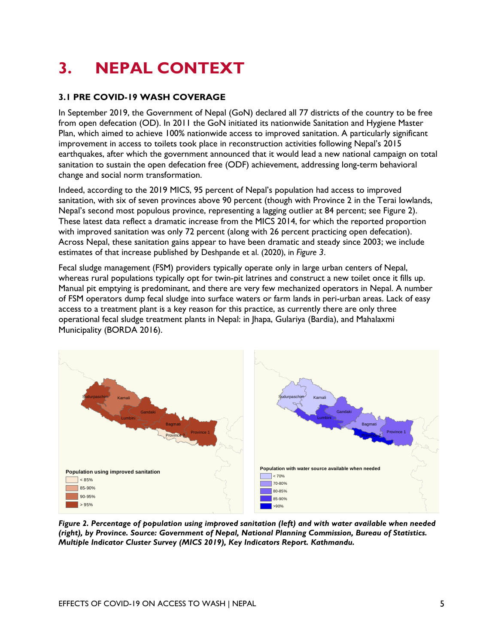# **3. NEPAL CONTEXT**

#### **3.1 PRE COVID-19 WASH COVERAGE**

In September 2019, the Government of Nepal (GoN) declared all 77 districts of the country to be free from open defecation (OD). In 2011 the GoN initiated its nationwide Sanitation and Hygiene Master Plan, which aimed to achieve 100% nationwide access to improved sanitation. A particularly significant improvement in access to toilets took place in reconstruction activities following Nepal's 2015 earthquakes, after which the government announced that it would lead a new national campaign on total sanitation to sustain the open defecation free (ODF) achievement, addressing long-term behavioral change and social norm transformation.

Indeed, according to the 2019 MICS, 95 percent of Nepal's population had access to improved sanitation, with six of seven provinces above 90 percent (though with Province 2 in the Terai lowlands, Nepal's second most populous province, representing a lagging outlier at 84 percent; see Figure 2). These latest data reflect a dramatic increase from the MICS 2014, for which the reported proportion with improved sanitation was only 72 percent (along with 26 percent practicing open defecation). Across Nepal, these sanitation gains appear to have been dramatic and steady since 2003; we include estimates of that increase published by Deshpande et al. (2020), in *Figure 3*.

Fecal sludge management (FSM) providers typically operate only in large urban centers of Nepal, whereas rural populations typically opt for twin-pit latrines and construct a new toilet once it fills up. Manual pit emptying is predominant, and there are very few mechanized operators in Nepal. A number of FSM operators dump fecal sludge into surface waters or farm lands in peri-urban areas. Lack of easy access to a treatment plant is a key reason for this practice, as currently there are only three operational fecal sludge treatment plants in Nepal: in Jhapa, Gulariya (Bardia), and Mahalaxmi Municipality (BORDA 2016).



*Figure 2. Percentage of population using improved sanitation (left) and with water available when needed (right), by Province. Source: Government of Nepal, National Planning Commission, Bureau of Statistics. Multiple Indicator Cluster Survey (MICS 2019), Key Indicators Report. Kathmandu.*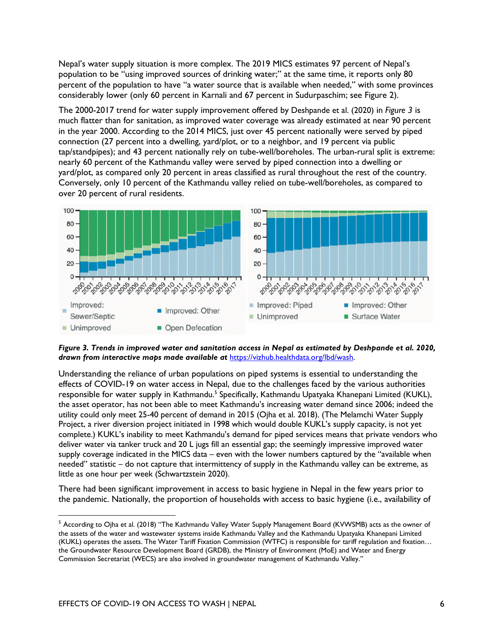Nepal's water supply situation is more complex. The 2019 MICS estimates 97 percent of Nepal's population to be "using improved sources of drinking water;" at the same time, it reports only 80 percent of the population to have "a water source that is available when needed," with some provinces considerably lower (only 60 percent in Karnali and 67 percent in Sudurpaschim; see Figure 2).

The 2000-2017 trend for water supply improvement offered by Deshpande et al. (2020) in *Figure 3* is much flatter than for sanitation, as improved water coverage was already estimated at near 90 percent in the year 2000. According to the 2014 MICS, just over 45 percent nationally were served by piped connection (27 percent into a dwelling, yard/plot, or to a neighbor, and 19 percent via public tap/standpipes); and 43 percent nationally rely on tube-well/boreholes. The urban-rural split is extreme: nearly 60 percent of the Kathmandu valley were served by piped connection into a dwelling or yard/plot, as compared only 20 percent in areas classified as rural throughout the rest of the country. Conversely, only 10 percent of the Kathmandu valley relied on tube-well/boreholes, as compared to over 20 percent of rural residents.



*Figure 3. Trends in improved water and sanitation access in Nepal as estimated by Deshpande et al. 2020, drawn from interactive maps made available at* https://vizhub.healthdata.org/lbd/wash.

Understanding the reliance of urban populations on piped systems is essential to understanding the effects of COVID-19 on water access in Nepal, due to the challenges faced by the various authorities responsible for water supply in Kathmandu.<sup>5</sup> Specifically, Kathmandu Upatyaka Khanepani Limited (KUKL), the asset operator, has not been able to meet Kathmandu's increasing water demand since 2006; indeed the utility could only meet 25-40 percent of demand in 2015 (Ojha et al. 2018). (The Melamchi Water Supply Project, a river diversion project initiated in 1998 which would double KUKL's supply capacity, is not yet complete.) KUKL's inability to meet Kathmandu's demand for piped services means that private vendors who deliver water via tanker truck and 20 L jugs fill an essential gap; the seemingly impressive improved water supply coverage indicated in the MICS data – even with the lower numbers captured by the "available when needed" statistic – do not capture that intermittency of supply in the Kathmandu valley can be extreme, as little as one hour per week (Schwartzstein 2020).

There had been significant improvement in access to basic hygiene in Nepal in the few years prior to the pandemic. Nationally, the proportion of households with access to basic hygiene (i.e., availability of

<sup>&</sup>lt;sup>5</sup> According to Ojha et al. (2018) "The Kathmandu Valley Water Supply Management Board (KVWSMB) acts as the owner of the assets of the water and wastewater systems inside Kathmandu Valley and the Kathmandu Upatyaka Khanepani Limited (KUKL) operates the assets. The Water Tariff Fixation Commission (WTFC) is responsible for tariff regulation and fixation… the Groundwater Resource Development Board (GRDB), the Ministry of Environment (MoE) and Water and Energy Commission Secretariat (WECS) are also involved in groundwater management of Kathmandu Valley."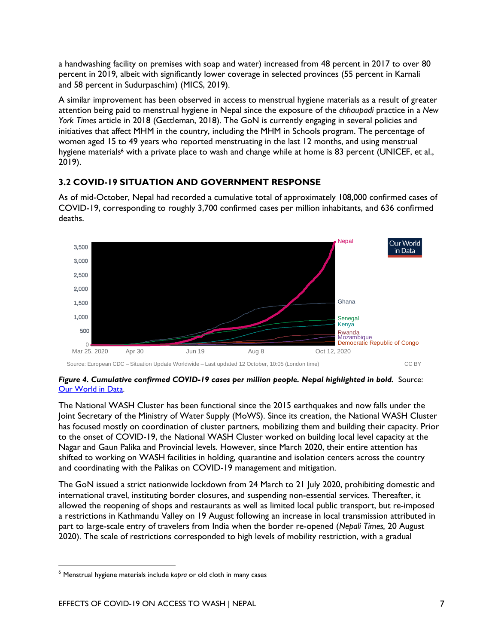a handwashing facility on premises with soap and water) increased from 48 percent in 2017 to over 80 percent in 2019, albeit with significantly lower coverage in selected provinces (55 percent in Karnali and 58 percent in Sudurpaschim) (MICS, 2019).

A similar improvement has been observed in access to menstrual hygiene materials as a result of greater attention being paid to menstrual hygiene in Nepal since the exposure of the *chhaupadi* practice in a *New York Times* article in 2018 (Gettleman, 2018). The GoN is currently engaging in several policies and initiatives that affect MHM in the country, including the MHM in Schools program. The percentage of women aged 15 to 49 years who reported menstruating in the last 12 months, and using menstrual hygiene materials<sup>6</sup> with a private place to wash and change while at home is 83 percent (UNICEF, et al., 2019).

#### **3.2 COVID-19 SITUATION AND GOVERNMENT RESPONSE**

As of mid-October, Nepal had recorded a cumulative total of approximately 108,000 confirmed cases of COVID-19, corresponding to roughly 3,700 confirmed cases per million inhabitants, and 636 confirmed deaths.



Source: European CDC – Situation Update Worldwide – Last updated 12 October, 10:05 (London time) CC BY

#### Figure 4. Cumulative confirmed COVID-19 cases per million people. Nepal highlighted in bold. Source: Our World in Data.

The National WASH Cluster has been functional since the 2015 earthquakes and now falls under the Joint Secretary of the Ministry of Water Supply (MoWS). Since its creation, the National WASH Cluster has focused mostly on coordination of cluster partners, mobilizing them and building their capacity. Prior to the onset of COVID-19, the National WASH Cluster worked on building local level capacity at the Nagar and Gaun Palika and Provincial levels. However, since March 2020, their entire attention has shifted to working on WASH facilities in holding, quarantine and isolation centers across the country and coordinating with the Palikas on COVID-19 management and mitigation.

The GoN issued a strict nationwide lockdown from 24 March to 21 July 2020, prohibiting domestic and international travel, instituting border closures, and suspending non-essential services. Thereafter, it allowed the reopening of shops and restaurants as well as limited local public transport, but re-imposed a restrictions in Kathmandu Valley on 19 August following an increase in local transmission attributed in part to large-scale entry of travelers from India when the border re-opened (*Nepali Times,* 20 August 2020). The scale of restrictions corresponded to high levels of mobility restriction, with a gradual

<sup>6</sup> Menstrual hygiene materials include *kapra* or old cloth in many cases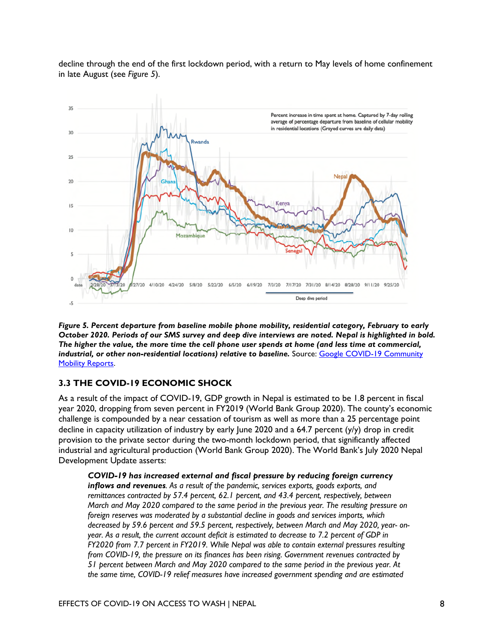decline through the end of the first lockdown period, with a return to May levels of home confinement in late August (see *Figure 5*).



*Figure 5. Percent departure from baseline mobile phone mobility, residential category, February to early October 2020. Periods of our SMS survey and deep dive interviews are noted. Nepal is highlighted in bold. The higher the value, the more time the cell phone user spends at home (and less time at commercial, industrial, or other non-residential locations) relative to baseline. Source: Google COVID-19 Community* Mobility Reports.

#### **3.3 THE COVID-19 ECONOMIC SHOCK**

As a result of the impact of COVID-19, GDP growth in Nepal is estimated to be 1.8 percent in fiscal year 2020, dropping from seven percent in FY2019 (World Bank Group 2020). The county's economic challenge is compounded by a near cessation of tourism as well as more than a 25 percentage point decline in capacity utilization of industry by early June 2020 and a 64.7 percent (y/y) drop in credit provision to the private sector during the two-month lockdown period, that significantly affected industrial and agricultural production (World Bank Group 2020). The World Bank's July 2020 Nepal Development Update asserts:

*COVID-19 has increased external and fiscal pressure by reducing foreign currency inflows and revenues. As a result of the pandemic, services exports, goods exports, and remittances contracted by 57.4 percent, 62.1 percent, and 43.4 percent, respectively, between March and May 2020 compared to the same period in the previous year. The resulting pressure on foreign reserves was moderated by a substantial decline in goods and services imports, which decreased by 59.6 percent and 59.5 percent, respectively, between March and May 2020, year- onyear. As a result, the current account deficit is estimated to decrease to 7.2 percent of GDP in FY2020 from 7.7 percent in FY2019. While Nepal was able to contain external pressures resulting from COVID-19, the pressure on its finances has been rising. Government revenues contracted by 51 percent between March and May 2020 compared to the same period in the previous year. At the same time, COVID-19 relief measures have increased government spending and are estimated*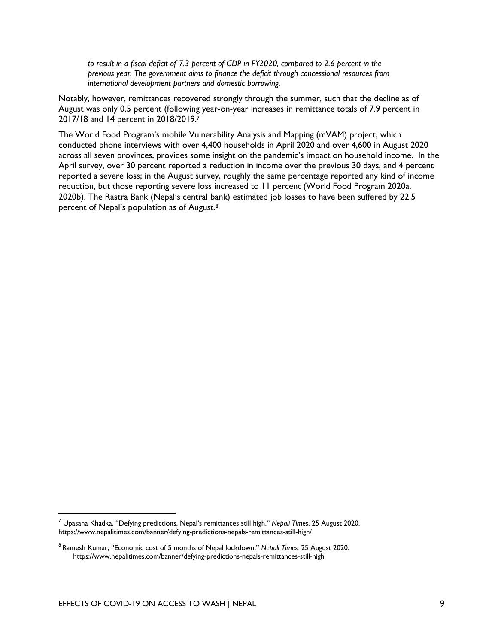*to result in a fiscal deficit of 7.3 percent of GDP in FY2020, compared to 2.6 percent in the previous year. The government aims to finance the deficit through concessional resources from international development partners and domestic borrowing.*

Notably, however, remittances recovered strongly through the summer, such that the decline as of August was only 0.5 percent (following year-on-year increases in remittance totals of 7.9 percent in 2017/18 and 14 percent in 2018/2019.<sup>7</sup>

The World Food Program's mobile Vulnerability Analysis and Mapping (mVAM) project, which conducted phone interviews with over 4,400 households in April 2020 and over 4,600 in August 2020 across all seven provinces, provides some insight on the pandemic's impact on household income. In the April survey, over 30 percent reported a reduction in income over the previous 30 days, and 4 percent reported a severe loss; in the August survey, roughly the same percentage reported any kind of income reduction, but those reporting severe loss increased to 11 percent (World Food Program 2020a, 2020b). The Rastra Bank (Nepal's central bank) estimated job losses to have been suffered by 22.5 percent of Nepal's population as of August.<sup>8</sup>

<sup>7</sup> Upasana Khadka, "Defying predictions, Nepal's remittances still high." *Nepali Times*. 25 August 2020. https://www.nepalitimes.com/banner/defying-predictions-nepals-remittances-still-high/

<sup>8</sup>Ramesh Kumar, "Economic cost of 5 months of Nepal lockdown." *Nepali Times.* 25 August 2020. https://www.nepalitimes.com/banner/defying-predictions-nepals-remittances-still-high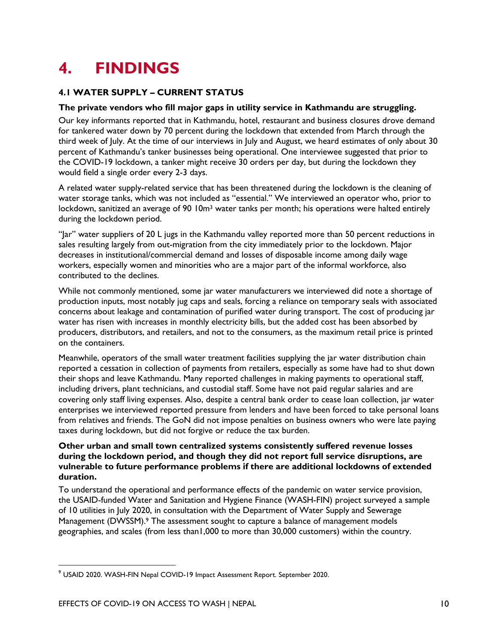## **4. FINDINGS**

#### **4.1 WATER SUPPLY – CURRENT STATUS**

#### **The private vendors who fill major gaps in utility service in Kathmandu are struggling.**

Our key informants reported that in Kathmandu, hotel, restaurant and business closures drove demand for tankered water down by 70 percent during the lockdown that extended from March through the third week of July. At the time of our interviews in July and August, we heard estimates of only about 30 percent of Kathmandu's tanker businesses being operational. One interviewee suggested that prior to the COVID-19 lockdown, a tanker might receive 30 orders per day, but during the lockdown they would field a single order every 2-3 days.

A related water supply-related service that has been threatened during the lockdown is the cleaning of water storage tanks, which was not included as "essential." We interviewed an operator who, prior to lockdown, sanitized an average of 90 10m<sup>3</sup> water tanks per month; his operations were halted entirely during the lockdown period.

"Jar" water suppliers of 20 L jugs in the Kathmandu valley reported more than 50 percent reductions in sales resulting largely from out-migration from the city immediately prior to the lockdown. Major decreases in institutional/commercial demand and losses of disposable income among daily wage workers, especially women and minorities who are a major part of the informal workforce, also contributed to the declines.

While not commonly mentioned, some jar water manufacturers we interviewed did note a shortage of production inputs, most notably jug caps and seals, forcing a reliance on temporary seals with associated concerns about leakage and contamination of purified water during transport. The cost of producing jar water has risen with increases in monthly electricity bills, but the added cost has been absorbed by producers, distributors, and retailers, and not to the consumers, as the maximum retail price is printed on the containers.

Meanwhile, operators of the small water treatment facilities supplying the jar water distribution chain reported a cessation in collection of payments from retailers, especially as some have had to shut down their shops and leave Kathmandu. Many reported challenges in making payments to operational staff, including drivers, plant technicians, and custodial staff. Some have not paid regular salaries and are covering only staff living expenses. Also, despite a central bank order to cease loan collection, jar water enterprises we interviewed reported pressure from lenders and have been forced to take personal loans from relatives and friends. The GoN did not impose penalties on business owners who were late paying taxes during lockdown, but did not forgive or reduce the tax burden.

#### **Other urban and small town centralized systems consistently suffered revenue losses during the lockdown period, and though they did not report full service disruptions, are vulnerable to future performance problems if there are additional lockdowns of extended duration.**

To understand the operational and performance effects of the pandemic on water service provision, the USAID-funded Water and Sanitation and Hygiene Finance (WASH-FIN) project surveyed a sample of 10 utilities in July 2020, in consultation with the Department of Water Supply and Sewerage Management (DWSSM).<sup>9</sup> The assessment sought to capture a balance of management models geographies, and scales (from less than1,000 to more than 30,000 customers) within the country.

<sup>9</sup> USAID 2020. WASH-FIN Nepal COVID-19 Impact Assessment Report. September 2020.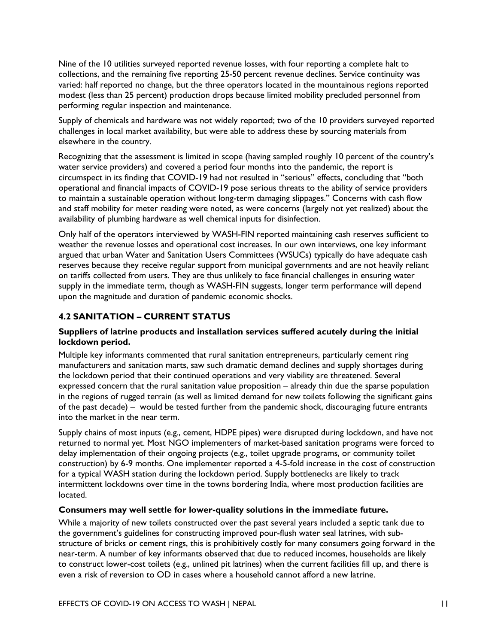Nine of the 10 utilities surveyed reported revenue losses, with four reporting a complete halt to collections, and the remaining five reporting 25-50 percent revenue declines. Service continuity was varied: half reported no change, but the three operators located in the mountainous regions reported modest (less than 25 percent) production drops because limited mobility precluded personnel from performing regular inspection and maintenance.

Supply of chemicals and hardware was not widely reported; two of the 10 providers surveyed reported challenges in local market availability, but were able to address these by sourcing materials from elsewhere in the country.

Recognizing that the assessment is limited in scope (having sampled roughly 10 percent of the country's water service providers) and covered a period four months into the pandemic, the report is circumspect in its finding that COVID-19 had not resulted in "serious" effects, concluding that "both operational and financial impacts of COVID-19 pose serious threats to the ability of service providers to maintain a sustainable operation without long-term damaging slippages." Concerns with cash flow and staff mobility for meter reading were noted, as were concerns (largely not yet realized) about the availability of plumbing hardware as well chemical inputs for disinfection.

Only half of the operators interviewed by WASH-FIN reported maintaining cash reserves sufficient to weather the revenue losses and operational cost increases. In our own interviews, one key informant argued that urban Water and Sanitation Users Committees (WSUCs) typically do have adequate cash reserves because they receive regular support from municipal governments and are not heavily reliant on tariffs collected from users. They are thus unlikely to face financial challenges in ensuring water supply in the immediate term, though as WASH-FIN suggests, longer term performance will depend upon the magnitude and duration of pandemic economic shocks.

#### **4.2 SANITATION – CURRENT STATUS**

#### **Suppliers of latrine products and installation services suffered acutely during the initial lockdown period.**

Multiple key informants commented that rural sanitation entrepreneurs, particularly cement ring manufacturers and sanitation marts, saw such dramatic demand declines and supply shortages during the lockdown period that their continued operations and very viability are threatened. Several expressed concern that the rural sanitation value proposition – already thin due the sparse population in the regions of rugged terrain (as well as limited demand for new toilets following the significant gains of the past decade) – would be tested further from the pandemic shock, discouraging future entrants into the market in the near term.

Supply chains of most inputs (e.g., cement, HDPE pipes) were disrupted during lockdown, and have not returned to normal yet. Most NGO implementers of market-based sanitation programs were forced to delay implementation of their ongoing projects (e.g., toilet upgrade programs, or community toilet construction) by 6-9 months. One implementer reported a 4-5-fold increase in the cost of construction for a typical WASH station during the lockdown period. Supply bottlenecks are likely to track intermittent lockdowns over time in the towns bordering India, where most production facilities are located.

#### **Consumers may well settle for lower-quality solutions in the immediate future.**

While a majority of new toilets constructed over the past several years included a septic tank due to the government's guidelines for constructing improved pour-flush water seal latrines, with substructure of bricks or cement rings, this is prohibitively costly for many consumers going forward in the near-term. A number of key informants observed that due to reduced incomes, households are likely to construct lower-cost toilets (e.g., unlined pit latrines) when the current facilities fill up, and there is even a risk of reversion to OD in cases where a household cannot afford a new latrine.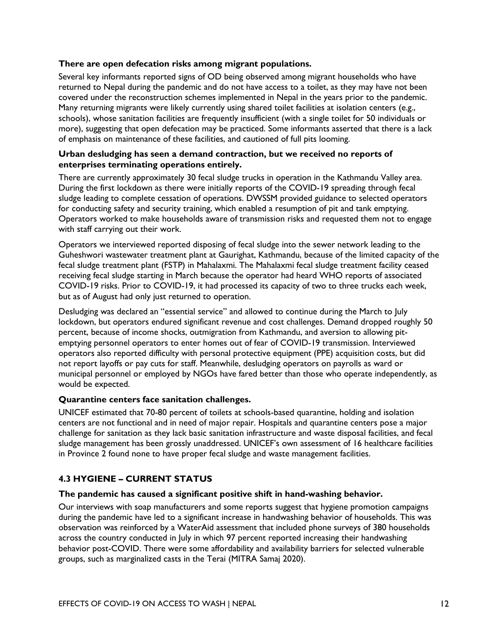#### **There are open defecation risks among migrant populations.**

Several key informants reported signs of OD being observed among migrant households who have returned to Nepal during the pandemic and do not have access to a toilet, as they may have not been covered under the reconstruction schemes implemented in Nepal in the years prior to the pandemic. Many returning migrants were likely currently using shared toilet facilities at isolation centers (e.g., schools), whose sanitation facilities are frequently insufficient (with a single toilet for 50 individuals or more), suggesting that open defecation may be practiced. Some informants asserted that there is a lack of emphasis on maintenance of these facilities, and cautioned of full pits looming.

#### **Urban desludging has seen a demand contraction, but we received no reports of enterprises terminating operations entirely.**

There are currently approximately 30 fecal sludge trucks in operation in the Kathmandu Valley area. During the first lockdown as there were initially reports of the COVID-19 spreading through fecal sludge leading to complete cessation of operations. DWSSM provided guidance to selected operators for conducting safety and security training, which enabled a resumption of pit and tank emptying. Operators worked to make households aware of transmission risks and requested them not to engage with staff carrying out their work.

Operators we interviewed reported disposing of fecal sludge into the sewer network leading to the Guheshwori wastewater treatment plant at Gaurighat, Kathmandu, because of the limited capacity of the fecal sludge treatment plant (FSTP) in Mahalaxmi. The Mahalaxmi fecal sludge treatment facility ceased receiving fecal sludge starting in March because the operator had heard WHO reports of associated COVID-19 risks. Prior to COVID-19, it had processed its capacity of two to three trucks each week, but as of August had only just returned to operation.

Desludging was declared an "essential service" and allowed to continue during the March to July lockdown, but operators endured significant revenue and cost challenges. Demand dropped roughly 50 percent, because of income shocks, outmigration from Kathmandu, and aversion to allowing pitemptying personnel operators to enter homes out of fear of COVID-19 transmission. Interviewed operators also reported difficulty with personal protective equipment (PPE) acquisition costs, but did not report layoffs or pay cuts for staff. Meanwhile, desludging operators on payrolls as ward or municipal personnel or employed by NGOs have fared better than those who operate independently, as would be expected.

#### **Quarantine centers face sanitation challenges.**

UNICEF estimated that 70-80 percent of toilets at schools-based quarantine, holding and isolation centers are not functional and in need of major repair. Hospitals and quarantine centers pose a major challenge for sanitation as they lack basic sanitation infrastructure and waste disposal facilities, and fecal sludge management has been grossly unaddressed. UNICEF's own assessment of 16 healthcare facilities in Province 2 found none to have proper fecal sludge and waste management facilities.

#### **4.3 HYGIENE – CURRENT STATUS**

#### **The pandemic has caused a significant positive shift in hand-washing behavior.**

Our interviews with soap manufacturers and some reports suggest that hygiene promotion campaigns during the pandemic have led to a significant increase in handwashing behavior of households. This was observation was reinforced by a WaterAid assessment that included phone surveys of 380 households across the country conducted in July in which 97 percent reported increasing their handwashing behavior post-COVID. There were some affordability and availability barriers for selected vulnerable groups, such as marginalized casts in the Terai (MITRA Samaj 2020).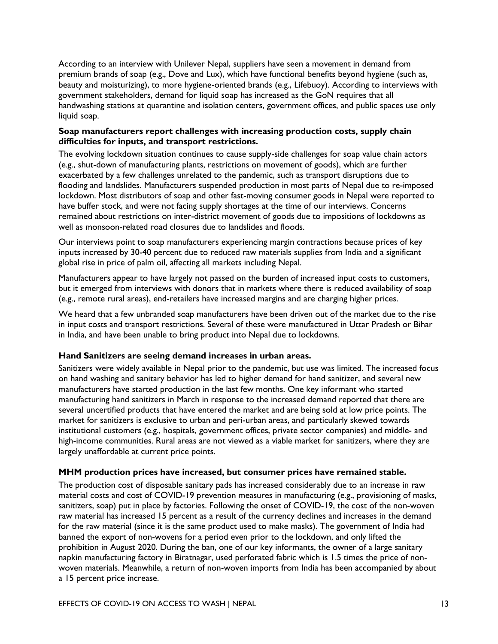According to an interview with Unilever Nepal, suppliers have seen a movement in demand from premium brands of soap (e.g., Dove and Lux), which have functional benefits beyond hygiene (such as, beauty and moisturizing), to more hygiene-oriented brands (e.g., Lifebuoy). According to interviews with government stakeholders, demand for liquid soap has increased as the GoN requires that all handwashing stations at quarantine and isolation centers, government offices, and public spaces use only liquid soap.

#### **Soap manufacturers report challenges with increasing production costs, supply chain difficulties for inputs, and transport restrictions.**

The evolving lockdown situation continues to cause supply-side challenges for soap value chain actors (e.g., shut-down of manufacturing plants, restrictions on movement of goods), which are further exacerbated by a few challenges unrelated to the pandemic, such as transport disruptions due to flooding and landslides. Manufacturers suspended production in most parts of Nepal due to re-imposed lockdown. Most distributors of soap and other fast-moving consumer goods in Nepal were reported to have buffer stock, and were not facing supply shortages at the time of our interviews. Concerns remained about restrictions on inter-district movement of goods due to impositions of lockdowns as well as monsoon-related road closures due to landslides and floods.

Our interviews point to soap manufacturers experiencing margin contractions because prices of key inputs increased by 30-40 percent due to reduced raw materials supplies from India and a significant global rise in price of palm oil, affecting all markets including Nepal.

Manufacturers appear to have largely not passed on the burden of increased input costs to customers, but it emerged from interviews with donors that in markets where there is reduced availability of soap (e.g., remote rural areas), end-retailers have increased margins and are charging higher prices.

We heard that a few unbranded soap manufacturers have been driven out of the market due to the rise in input costs and transport restrictions. Several of these were manufactured in Uttar Pradesh or Bihar in India, and have been unable to bring product into Nepal due to lockdowns.

#### **Hand Sanitizers are seeing demand increases in urban areas.**

Sanitizers were widely available in Nepal prior to the pandemic, but use was limited. The increased focus on hand washing and sanitary behavior has led to higher demand for hand sanitizer, and several new manufacturers have started production in the last few months. One key informant who started manufacturing hand sanitizers in March in response to the increased demand reported that there are several uncertified products that have entered the market and are being sold at low price points. The market for sanitizers is exclusive to urban and peri-urban areas, and particularly skewed towards institutional customers (e.g., hospitals, government offices, private sector companies) and middle- and high-income communities. Rural areas are not viewed as a viable market for sanitizers, where they are largely unaffordable at current price points.

#### **MHM production prices have increased, but consumer prices have remained stable.**

The production cost of disposable sanitary pads has increased considerably due to an increase in raw material costs and cost of COVID-19 prevention measures in manufacturing (e.g., provisioning of masks, sanitizers, soap) put in place by factories. Following the onset of COVID-19, the cost of the non-woven raw material has increased 15 percent as a result of the currency declines and increases in the demand for the raw material (since it is the same product used to make masks). The government of India had banned the export of non-wovens for a period even prior to the lockdown, and only lifted the prohibition in August 2020. During the ban, one of our key informants, the owner of a large sanitary napkin manufacturing factory in Biratnagar, used perforated fabric which is 1.5 times the price of nonwoven materials. Meanwhile, a return of non-woven imports from India has been accompanied by about a 15 percent price increase.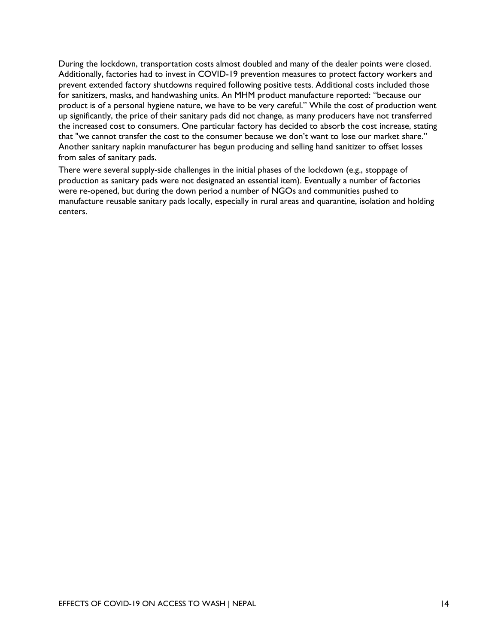During the lockdown, transportation costs almost doubled and many of the dealer points were closed. Additionally, factories had to invest in COVID-19 prevention measures to protect factory workers and prevent extended factory shutdowns required following positive tests. Additional costs included those for sanitizers, masks, and handwashing units. An MHM product manufacture reported: "because our product is of a personal hygiene nature, we have to be very careful." While the cost of production went up significantly, the price of their sanitary pads did not change, as many producers have not transferred the increased cost to consumers. One particular factory has decided to absorb the cost increase, stating that "we cannot transfer the cost to the consumer because we don't want to lose our market share." Another sanitary napkin manufacturer has begun producing and selling hand sanitizer to offset losses from sales of sanitary pads.

There were several supply-side challenges in the initial phases of the lockdown (e.g., stoppage of production as sanitary pads were not designated an essential item). Eventually a number of factories were re-opened, but during the down period a number of NGOs and communities pushed to manufacture reusable sanitary pads locally, especially in rural areas and quarantine, isolation and holding centers.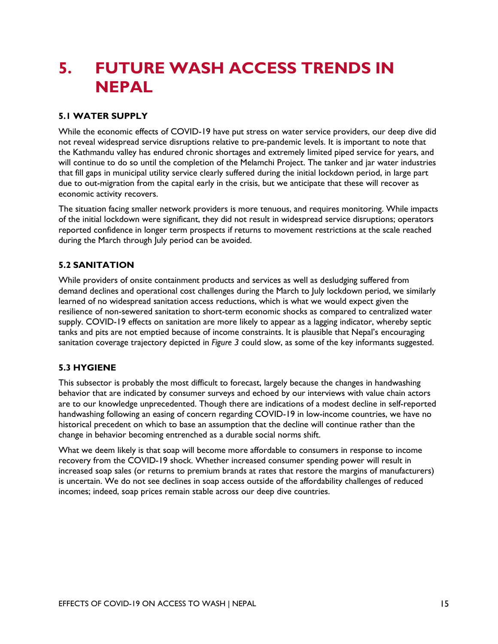### **5. FUTURE WASH ACCESS TRENDS IN NEPAL**

#### **5.1 WATER SUPPLY**

While the economic effects of COVID-19 have put stress on water service providers, our deep dive did not reveal widespread service disruptions relative to pre-pandemic levels. It is important to note that the Kathmandu valley has endured chronic shortages and extremely limited piped service for years, and will continue to do so until the completion of the Melamchi Project. The tanker and jar water industries that fill gaps in municipal utility service clearly suffered during the initial lockdown period, in large part due to out-migration from the capital early in the crisis, but we anticipate that these will recover as economic activity recovers.

The situation facing smaller network providers is more tenuous, and requires monitoring. While impacts of the initial lockdown were significant, they did not result in widespread service disruptions; operators reported confidence in longer term prospects if returns to movement restrictions at the scale reached during the March through July period can be avoided.

#### **5.2 SANITATION**

While providers of onsite containment products and services as well as desludging suffered from demand declines and operational cost challenges during the March to July lockdown period, we similarly learned of no widespread sanitation access reductions, which is what we would expect given the resilience of non-sewered sanitation to short-term economic shocks as compared to centralized water supply. COVID-19 effects on sanitation are more likely to appear as a lagging indicator, whereby septic tanks and pits are not emptied because of income constraints. It is plausible that Nepal's encouraging sanitation coverage trajectory depicted in *Figure 3* could slow, as some of the key informants suggested.

#### **5.3 HYGIENE**

This subsector is probably the most difficult to forecast, largely because the changes in handwashing behavior that are indicated by consumer surveys and echoed by our interviews with value chain actors are to our knowledge unprecedented. Though there are indications of a modest decline in self-reported handwashing following an easing of concern regarding COVID-19 in low-income countries, we have no historical precedent on which to base an assumption that the decline will continue rather than the change in behavior becoming entrenched as a durable social norms shift.

What we deem likely is that soap will become more affordable to consumers in response to income recovery from the COVID-19 shock. Whether increased consumer spending power will result in increased soap sales (or returns to premium brands at rates that restore the margins of manufacturers) is uncertain. We do not see declines in soap access outside of the affordability challenges of reduced incomes; indeed, soap prices remain stable across our deep dive countries.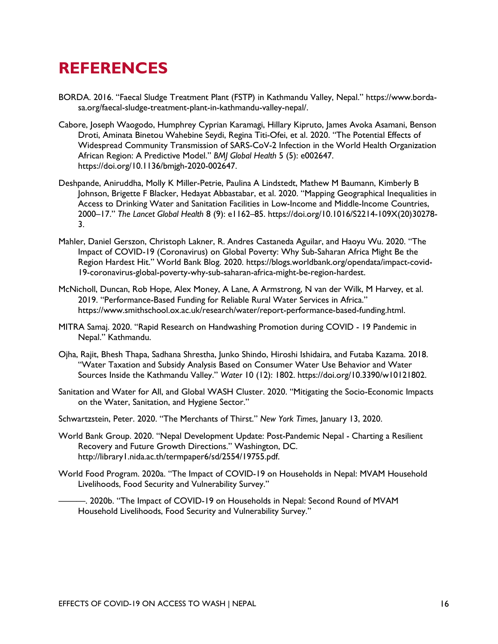### **REFERENCES**

- BORDA. 2016. "Faecal Sludge Treatment Plant (FSTP) in Kathmandu Valley, Nepal." https://www.bordasa.org/faecal-sludge-treatment-plant-in-kathmandu-valley-nepal/.
- Cabore, Joseph Waogodo, Humphrey Cyprian Karamagi, Hillary Kipruto, James Avoka Asamani, Benson Droti, Aminata Binetou Wahebine Seydi, Regina Titi-Ofei, et al. 2020. "The Potential Effects of Widespread Community Transmission of SARS-CoV-2 Infection in the World Health Organization African Region: A Predictive Model." *BMJ Global Health* 5 (5): e002647. https://doi.org/10.1136/bmjgh-2020-002647.
- Deshpande, Aniruddha, Molly K Miller-Petrie, Paulina A Lindstedt, Mathew M Baumann, Kimberly B Johnson, Brigette F Blacker, Hedayat Abbastabar, et al. 2020. "Mapping Geographical Inequalities in Access to Drinking Water and Sanitation Facilities in Low-Income and Middle-Income Countries, 2000–17." *The Lancet Global Health* 8 (9): e1162–85. https://doi.org/10.1016/S2214-109X(20)30278- 3.
- Mahler, Daniel Gerszon, Christoph Lakner, R. Andres Castaneda Aguilar, and Haoyu Wu. 2020. "The Impact of COVID-19 (Coronavirus) on Global Poverty: Why Sub-Saharan Africa Might Be the Region Hardest Hit." World Bank Blog. 2020. https://blogs.worldbank.org/opendata/impact-covid-19-coronavirus-global-poverty-why-sub-saharan-africa-might-be-region-hardest.
- McNicholl, Duncan, Rob Hope, Alex Money, A Lane, A Armstrong, N van der Wilk, M Harvey, et al. 2019. "Performance-Based Funding for Reliable Rural Water Services in Africa." https://www.smithschool.ox.ac.uk/research/water/report-performance-based-funding.html.
- MITRA Samaj. 2020. "Rapid Research on Handwashing Promotion during COVID 19 Pandemic in Nepal." Kathmandu.
- Ojha, Rajit, Bhesh Thapa, Sadhana Shrestha, Junko Shindo, Hiroshi Ishidaira, and Futaba Kazama. 2018. "Water Taxation and Subsidy Analysis Based on Consumer Water Use Behavior and Water Sources Inside the Kathmandu Valley." *Water* 10 (12): 1802. https://doi.org/10.3390/w10121802.
- Sanitation and Water for All, and Global WASH Cluster. 2020. "Mitigating the Socio-Economic Impacts on the Water, Sanitation, and Hygiene Sector."
- Schwartzstein, Peter. 2020. "The Merchants of Thirst." *New York Times*, January 13, 2020.
- World Bank Group. 2020. "Nepal Development Update: Post-Pandemic Nepal Charting a Resilient Recovery and Future Growth Directions." Washington, DC. http://library1.nida.ac.th/termpaper6/sd/2554/19755.pdf.
- World Food Program. 2020a. "The Impact of COVID-19 on Households in Nepal: MVAM Household Livelihoods, Food Security and Vulnerability Survey."

-. 2020b. "The Impact of COVID-19 on Households in Nepal: Second Round of MVAM Household Livelihoods, Food Security and Vulnerability Survey."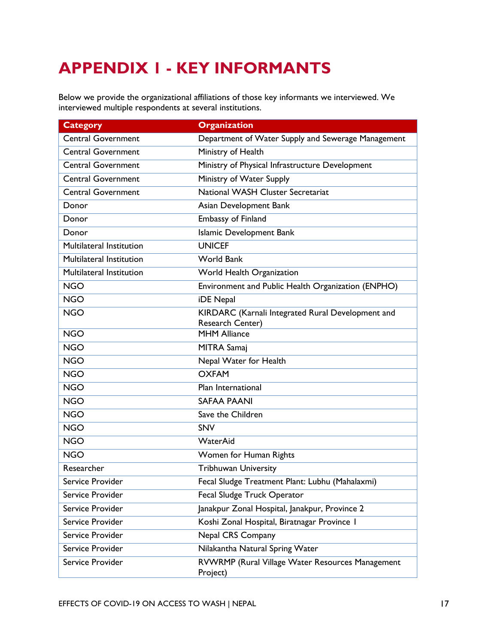# **APPENDIX 1 - KEY INFORMANTS**

Below we provide the organizational affiliations of those key informants we interviewed. We interviewed multiple respondents at several institutions.

| <b>Category</b>                 | <b>Organization</b>                                                          |
|---------------------------------|------------------------------------------------------------------------------|
| <b>Central Government</b>       | Department of Water Supply and Sewerage Management                           |
| <b>Central Government</b>       | Ministry of Health                                                           |
| <b>Central Government</b>       | Ministry of Physical Infrastructure Development                              |
| <b>Central Government</b>       | Ministry of Water Supply                                                     |
| <b>Central Government</b>       | National WASH Cluster Secretariat                                            |
| Donor                           | Asian Development Bank                                                       |
| Donor                           | Embassy of Finland                                                           |
| Donor                           | Islamic Development Bank                                                     |
| <b>Multilateral Institution</b> | <b>UNICEF</b>                                                                |
| Multilateral Institution        | <b>World Bank</b>                                                            |
| Multilateral Institution        | World Health Organization                                                    |
| <b>NGO</b>                      | Environment and Public Health Organization (ENPHO)                           |
| <b>NGO</b>                      | iDE Nepal                                                                    |
| <b>NGO</b>                      | KIRDARC (Karnali Integrated Rural Development and<br><b>Research Center)</b> |
| <b>NGO</b>                      | <b>MHM Alliance</b>                                                          |
| <b>NGO</b>                      | <b>MITRA Samaj</b>                                                           |
| <b>NGO</b>                      | Nepal Water for Health                                                       |
| <b>NGO</b>                      | <b>OXFAM</b>                                                                 |
| <b>NGO</b>                      | Plan International                                                           |
| <b>NGO</b>                      | <b>SAFAA PAANI</b>                                                           |
| <b>NGO</b>                      | Save the Children                                                            |
| <b>NGO</b>                      | <b>SNV</b>                                                                   |
| <b>NGO</b>                      | WaterAid                                                                     |
| <b>NGO</b>                      | Women for Human Rights                                                       |
| Researcher                      | <b>Tribhuwan University</b>                                                  |
| Service Provider                | Fecal Sludge Treatment Plant: Lubhu (Mahalaxmi)                              |
| Service Provider                | Fecal Sludge Truck Operator                                                  |
| Service Provider                | Janakpur Zonal Hospital, Janakpur, Province 2                                |
| Service Provider                | Koshi Zonal Hospital, Biratnagar Province I                                  |
| Service Provider                | Nepal CRS Company                                                            |
| Service Provider                | Nilakantha Natural Spring Water                                              |
| Service Provider                | RVWRMP (Rural Village Water Resources Management<br>Project)                 |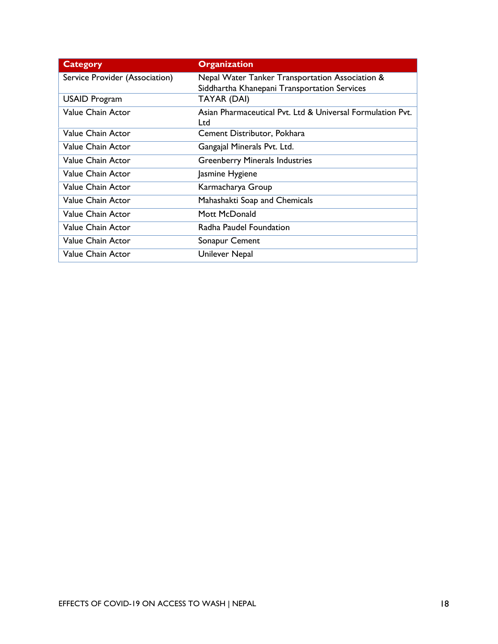| <b>Category</b>                | <b>Organization</b>                                                                             |
|--------------------------------|-------------------------------------------------------------------------------------------------|
| Service Provider (Association) | Nepal Water Tanker Transportation Association &<br>Siddhartha Khanepani Transportation Services |
| <b>USAID Program</b>           | TAYAR (DAI)                                                                                     |
| Value Chain Actor              | Asian Pharmaceutical Pvt. Ltd & Universal Formulation Pvt.<br>Ltd                               |
| Value Chain Actor              | Cement Distributor, Pokhara                                                                     |
| Value Chain Actor              | Gangajal Minerals Pvt. Ltd.                                                                     |
| Value Chain Actor              | <b>Greenberry Minerals Industries</b>                                                           |
| Value Chain Actor              | Jasmine Hygiene                                                                                 |
| <b>Value Chain Actor</b>       | Karmacharya Group                                                                               |
| <b>Value Chain Actor</b>       | Mahashakti Soap and Chemicals                                                                   |
| Value Chain Actor              | Mott McDonald                                                                                   |
| Value Chain Actor              | Radha Paudel Foundation                                                                         |
| <b>Value Chain Actor</b>       | Sonapur Cement                                                                                  |
| Value Chain Actor              | Unilever Nepal                                                                                  |